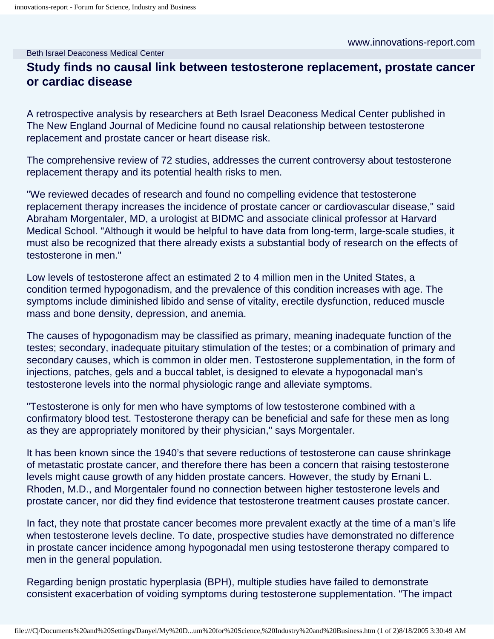Beth Israel Deaconess Medical Center

## **Study finds no causal link between testosterone replacement, prostate cancer or cardiac disease**

A retrospective analysis by researchers at Beth Israel Deaconess Medical Center published in The New England Journal of Medicine found no causal relationship between testosterone replacement and prostate cancer or heart disease risk.

The comprehensive review of 72 studies, addresses the current controversy about testosterone replacement therapy and its potential health risks to men.

"We reviewed decades of research and found no compelling evidence that testosterone replacement therapy increases the incidence of prostate cancer or cardiovascular disease," said Abraham Morgentaler, MD, a urologist at BIDMC and associate clinical professor at Harvard Medical School. "Although it would be helpful to have data from long-term, large-scale studies, it must also be recognized that there already exists a substantial body of research on the effects of testosterone in men."

Low levels of testosterone affect an estimated 2 to 4 million men in the United States, a condition termed hypogonadism, and the prevalence of this condition increases with age. The symptoms include diminished libido and sense of vitality, erectile dysfunction, reduced muscle mass and bone density, depression, and anemia.

The causes of hypogonadism may be classified as primary, meaning inadequate function of the testes; secondary, inadequate pituitary stimulation of the testes; or a combination of primary and secondary causes, which is common in older men. Testosterone supplementation, in the form of injections, patches, gels and a buccal tablet, is designed to elevate a hypogonadal man's testosterone levels into the normal physiologic range and alleviate symptoms.

"Testosterone is only for men who have symptoms of low testosterone combined with a confirmatory blood test. Testosterone therapy can be beneficial and safe for these men as long as they are appropriately monitored by their physician," says Morgentaler.

It has been known since the 1940's that severe reductions of testosterone can cause shrinkage of metastatic prostate cancer, and therefore there has been a concern that raising testosterone levels might cause growth of any hidden prostate cancers. However, the study by Ernani L. Rhoden, M.D., and Morgentaler found no connection between higher testosterone levels and prostate cancer, nor did they find evidence that testosterone treatment causes prostate cancer.

In fact, they note that prostate cancer becomes more prevalent exactly at the time of a man's life when testosterone levels decline. To date, prospective studies have demonstrated no difference in prostate cancer incidence among hypogonadal men using testosterone therapy compared to men in the general population.

Regarding benign prostatic hyperplasia (BPH), multiple studies have failed to demonstrate consistent exacerbation of voiding symptoms during testosterone supplementation. "The impact